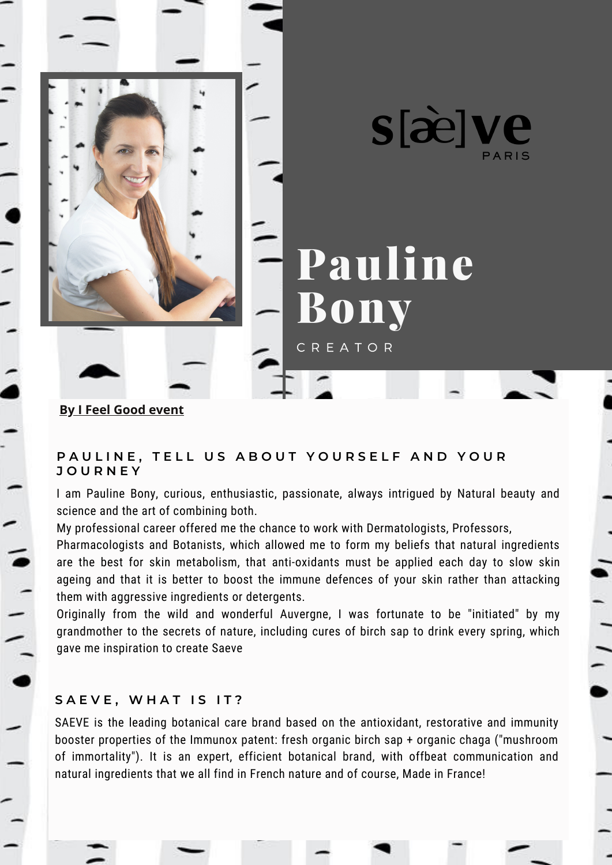

#### **[By I Feel Good event](https://en.ifeelgood-event.com/)**

 $11111$ 

# PAULINE, TELL US ABOUT YOURSELF AND YOUR **J O U R N E Y**

I am Pauline Bony, curious, enthusiastic, passionate, always intrigued by Natural beauty and science and the art of combining both.

My professional career offered me the chance to work with Dermatologists, Professors,

Pharmacologists and Botanists, which allowed me to form my beliefs that natural ingredients are the best for skin metabolism, that anti-oxidants must be applied each day to slow skin ageing and that it is better to boost the immune defences of your skin rather than attacking them with aggressive ingredients or detergents.

Originally from the wild and wonderful Auvergne, I was fortunate to be "initiated" by my grandmother to the secrets of nature, including cures of birch sap to drink every spring, which gave me inspiration to create Saeve

### **S A E V E , W H A T I S I T ?**

SAEVE is the leading botanical care brand based on the antioxidant, restorative and immunity booster properties of the Immunox patent: fresh organic birch sap + organic chaga ("mushroom of immortality"). It is an expert, efficient botanical brand, with offbeat communication and natural ingredients that we all find in French nature and of course, Made in France!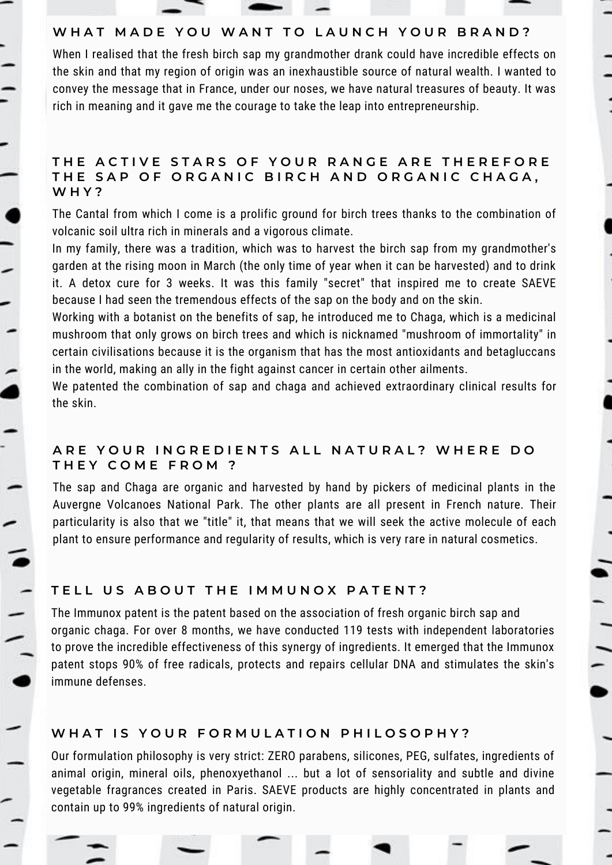

## WHAT MADE YOU WANT TO LAUNCH YOUR BRAND?

When I realised that the fresh birch sap my grandmother drank could have incredible effects on the skin and that my region of origin was an inexhaustible source of natural wealth. I wanted to convey the message that in France, under our noses, we have natural treasures of beauty. It was rich in meaning and it gave me the courage to take the leap into entrepreneurship.

#### THE ACTIVE STARS OF YOUR RANGE ARE THEREFORE THE SAP OF ORGANIC BIRCH AND ORGANIC CHAGA, **W H Y ?**

The Cantal from which I come is a prolific ground for birch trees thanks to the combination of volcanic soil ultra rich in minerals and a vigorous climate.

In my family, there was a tradition, which was to harvest the birch sap from my grandmother's garden at the rising moon in March (the only time of year when it can be harvested) and to drink it. A detox cure for 3 weeks. It was this family "secret" that inspired me to create SAEVE because I had seen the tremendous effects of the sap on the body and on the skin.

Working with a botanist on the benefits of sap, he introduced me to Chaga, which is a medicinal mushroom that only grows on birch trees and which is nicknamed "mushroom of immortality" in certain civilisations because it is the organism that has the most antioxidants and betagluccans in the world, making an ally in the fight against cancer in certain other ailments.

We patented the combination of sap and chaga and achieved extraordinary clinical results for the skin.

### ARE YOUR INGREDIENTS ALL NATURAL? WHERE DO **T H E Y C O M E F R O M ?**

The sap and Chaga are organic and harvested by hand by pickers of medicinal plants in the Auvergne Volcanoes National Park. The other plants are all present in French nature. Their particularity is also that we "title" it, that means that we will seek the active molecule of each plant to ensure performance and regularity of results, which is very rare in natural cosmetics.

# TELL US ABOUT THE IMMUNOX PATENT?

The Immunox patent is the patent based on the association of fresh organic birch sap and organic chaga. For over 8 months, we have conducted 119 tests with independent laboratories to prove the incredible effectiveness of this synergy of ingredients. It emerged that the Immunox patent stops 90% of free radicals, protects and repairs cellular DNA and stimulates the skin's immune defenses.

### WHAT IS YOUR FORMULATION PHILOSOPHY?

Our formulation philosophy is very strict: ZERO parabens, silicones, PEG, sulfates, ingredients of animal origin, mineral oils, phenoxyethanol ... but a lot of sensoriality and subtle and divine vegetable fragrances created in Paris. SAEVE products are highly concentrated in plants and contain up to 99% ingredients of natural origin.